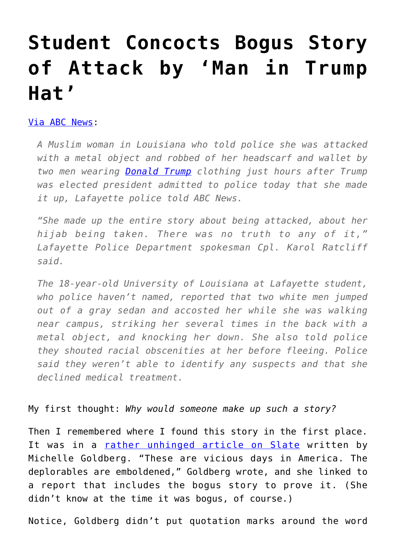## **[Student Concocts Bogus Story](https://intellectualtakeout.org/2016/11/student-concocts-bogus-story-of-attack-by-man-in-trump-hat/) [of Attack by 'Man in Trump](https://intellectualtakeout.org/2016/11/student-concocts-bogus-story-of-attack-by-man-in-trump-hat/) [Hat'](https://intellectualtakeout.org/2016/11/student-concocts-bogus-story-of-attack-by-man-in-trump-hat/)**

## [Via ABC News](http://abcnews.go.com/Politics/muslim-student-reported-trump-inspired-attack-admits-made/story?id=43442471):

*A Muslim woman in Louisiana who told police she was attacked with a metal object and robbed of her headscarf and wallet by two men wearing [Donald Trump](http://abcnews.go.com/topics/news/donald-trump.htm) clothing just hours after Trump was elected president admitted to police today that she made it up, Lafayette police told ABC News.*

*"She made up the entire story about being attacked, about her hijab being taken. There was no truth to any of it," Lafayette Police Department spokesman Cpl. Karol Ratcliff said.*

*The 18-year-old University of Louisiana at Lafayette student, who police haven't named, reported that two white men jumped out of a gray sedan and accosted her while she was walking near campus, striking her several times in the back with a metal object, and knocking her down. She also told police they shouted racial obscenities at her before fleeing. Police said they weren't able to identify any suspects and that she declined medical treatment.*

## My first thought: *Why would someone make up such a story?*

Then I remembered where I found this story in the first place. It was in a [rather unhinged article on Slate](http://www.slate.com/blogs/xx_factor/2016/11/10/after_brexit_tolerant_britons_adopted_a_simple_symbol_of_solidarity_we_should.html) written by Michelle Goldberg. "These are vicious days in America. The deplorables are emboldened," Goldberg wrote, and she linked to a report that includes the bogus story to prove it. (She didn't know at the time it was bogus, of course.)

Notice, Goldberg didn't put quotation marks around the word